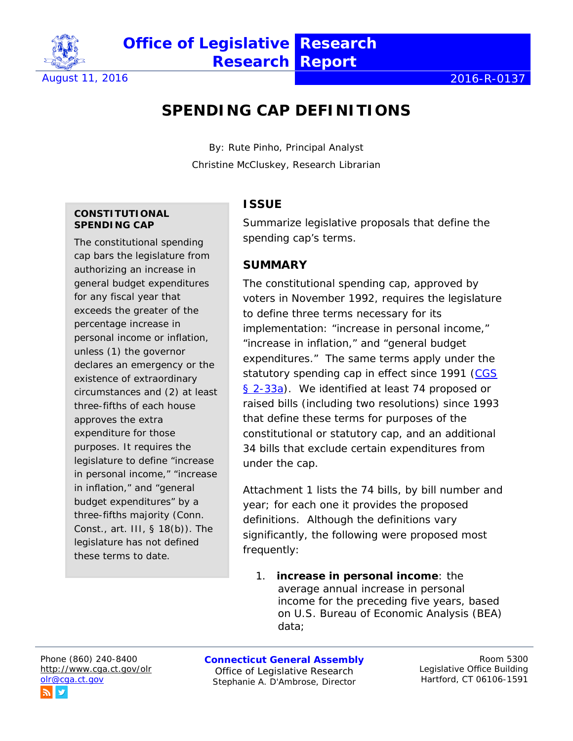

# **SPENDING CAP DEFINITIONS**

By: Rute Pinho, Principal Analyst Christine McCluskey, Research Librarian

#### **CONSTITUTIONAL SPENDING CAP**

The constitutional spending cap bars the legislature from authorizing an increase in general budget expenditures for any fiscal year that exceeds the greater of the percentage increase in personal income or inflation, unless (1) the governor declares an emergency or the existence of extraordinary circumstances and (2) at least three-fifths of each house approves the extra expenditure for those purposes. It requires the legislature to define "increase in personal income," "increase in inflation," and "general budget expenditures" by a three-fifths majority (Conn. Const., art. III, § 18(b)). The legislature has not defined these terms to date.

#### **ISSUE**

Summarize legislative proposals that define the spending cap's terms.

#### **SUMMARY**

The constitutional spending cap, approved by voters in November 1992, requires the legislature to define three terms necessary for its implementation: "increase in personal income," "increase in inflation," and "general budget expenditures." The same terms apply under the statutory spending cap in effect since 1991 [\(CGS](https://www.cga.ct.gov/current/pub/chap_016.htm#sec_2-33a)  [§ 2-33a\)](https://www.cga.ct.gov/current/pub/chap_016.htm#sec_2-33a). We identified at least 74 proposed or raised bills (including two resolutions) since 1993 that define these terms for purposes of the constitutional or statutory cap, and an additional 34 bills that exclude certain expenditures from under the cap.

Attachment 1 lists the 74 bills, by bill number and year; for each one it provides the proposed definitions. Although the definitions vary significantly, the following were proposed most frequently:

1. **increase in personal income**: the average annual increase in personal income for the preceding five years, based on U.S. Bureau of Economic Analysis (BEA) data;

Phone (860) 240-8400 <http://www.cga.ct.gov/olr> [olr@cga.ct.gov](mailto:olr@cga.ct.gov)

**Connecticut General Assembly** Office of Legislative Research Stephanie A. D'Ambrose, Director

Room 5300 Legislative Office Building Hartford, CT 06106-1591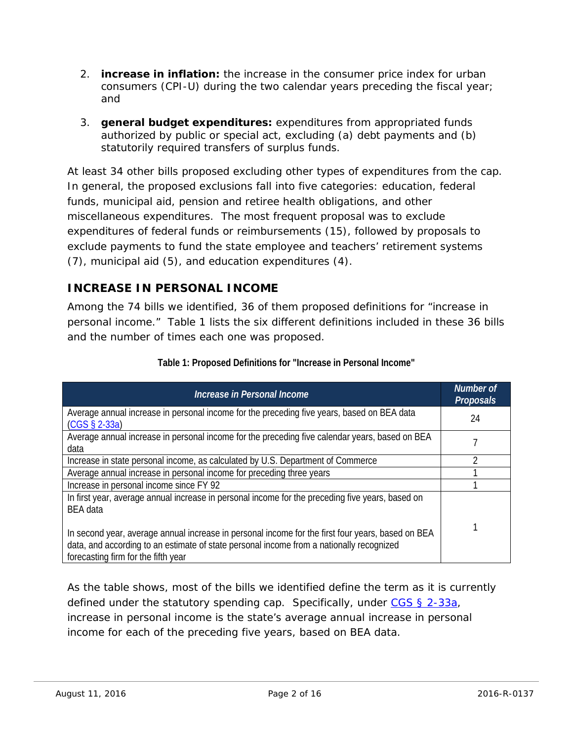- 2. **increase in inflation:** the increase in the consumer price index for urban consumers (CPI-U) during the two calendar years preceding the fiscal year; and
- 3. **general budget expenditures:** expenditures from appropriated funds authorized by public or special act, excluding (a) debt payments and (b) statutorily required transfers of surplus funds.

At least 34 other bills proposed excluding other types of expenditures from the cap. In general, the proposed exclusions fall into five categories: education, federal funds, municipal aid, pension and retiree health obligations, and other miscellaneous expenditures. The most frequent proposal was to exclude expenditures of federal funds or reimbursements (15), followed by proposals to exclude payments to fund the state employee and teachers' retirement systems (7), municipal aid (5), and education expenditures (4).

### **INCREASE IN PERSONAL INCOME**

Among the 74 bills we identified, 36 of them proposed definitions for "increase in personal income." Table 1 lists the six different definitions included in these 36 bills and the number of times each one was proposed.

| Increase in Personal Income                                                                                                                                                                                                                                                                                                                                 | <b>Number of</b><br><b>Proposals</b> |
|-------------------------------------------------------------------------------------------------------------------------------------------------------------------------------------------------------------------------------------------------------------------------------------------------------------------------------------------------------------|--------------------------------------|
| Average annual increase in personal income for the preceding five years, based on BEA data<br>$(CGS \S 2-33a)$                                                                                                                                                                                                                                              | 24                                   |
| Average annual increase in personal income for the preceding five calendar years, based on BEA<br>data                                                                                                                                                                                                                                                      |                                      |
| Increase in state personal income, as calculated by U.S. Department of Commerce                                                                                                                                                                                                                                                                             |                                      |
| Average annual increase in personal income for preceding three years                                                                                                                                                                                                                                                                                        |                                      |
| Increase in personal income since FY 92                                                                                                                                                                                                                                                                                                                     |                                      |
| In first year, average annual increase in personal income for the preceding five years, based on<br><b>BEA</b> data<br>In second year, average annual increase in personal income for the first four years, based on BEA<br>data, and according to an estimate of state personal income from a nationally recognized<br>forecasting firm for the fifth year |                                      |

#### **Table 1: Proposed Definitions for "Increase in Personal Income"**

As the table shows, most of the bills we identified define the term as it is currently defined under the statutory spending cap. Specifically, under  $CS § 2-33a$ ,</u> increase in personal income is the state's average annual increase in personal income for each of the preceding five years, based on BEA data.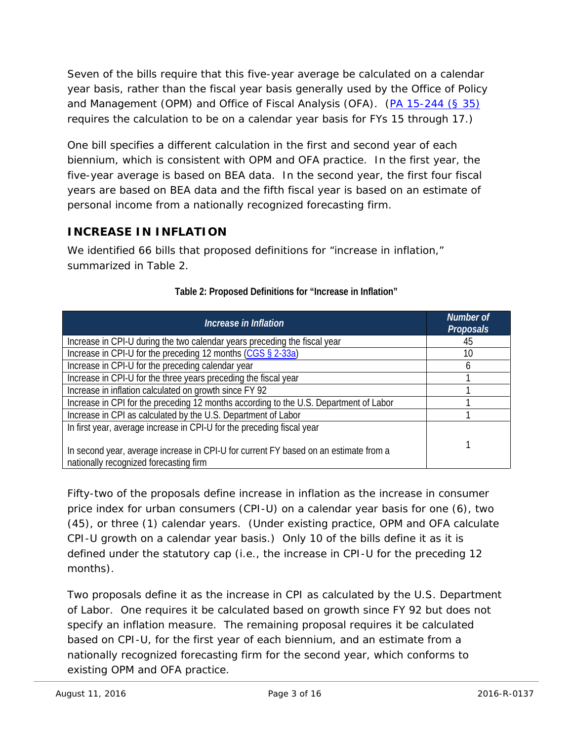Seven of the bills require that this five-year average be calculated on a calendar year basis, rather than the fiscal year basis generally used by the Office of Policy and Management (OPM) and Office of Fiscal Analysis (OFA). [\(PA 15-244 \(§ 35\)](https://www.cga.ct.gov/2015/ACT/PA/2015PA-00244-R00HB-07061-PA.htm) requires the calculation to be on a calendar year basis for FYs 15 through 17.)

One bill specifies a different calculation in the first and second year of each biennium, which is consistent with OPM and OFA practice. In the first year, the five-year average is based on BEA data. In the second year, the first four fiscal years are based on BEA data and the fifth fiscal year is based on an estimate of personal income from a nationally recognized forecasting firm.

### **INCREASE IN INFLATION**

We identified 66 bills that proposed definitions for "increase in inflation," summarized in Table 2.

| Increase in Inflation                                                                                                          | Number of<br><b>Proposals</b> |
|--------------------------------------------------------------------------------------------------------------------------------|-------------------------------|
| Increase in CPI-U during the two calendar years preceding the fiscal year                                                      | 45                            |
| Increase in CPI-U for the preceding 12 months (CGS § 2-33a)                                                                    | 10                            |
| Increase in CPI-U for the preceding calendar year                                                                              | h                             |
| Increase in CPI-U for the three years preceding the fiscal year                                                                |                               |
| Increase in inflation calculated on growth since FY 92                                                                         |                               |
| Increase in CPI for the preceding 12 months according to the U.S. Department of Labor                                          |                               |
| Increase in CPI as calculated by the U.S. Department of Labor                                                                  |                               |
| In first year, average increase in CPI-U for the preceding fiscal year                                                         |                               |
| In second year, average increase in CPI-U for current FY based on an estimate from a<br>nationally recognized forecasting firm |                               |

| Table 2: Proposed Definitions for "Increase in Inflation" |
|-----------------------------------------------------------|
|-----------------------------------------------------------|

Fifty-two of the proposals define increase in inflation as the increase in consumer price index for urban consumers (CPI-U) on a calendar year basis for one (6), two (45), or three (1) calendar years. (Under existing practice, OPM and OFA calculate CPI-U growth on a calendar year basis.) Only 10 of the bills define it as it is defined under the statutory cap (i.e., the increase in CPI-U for the preceding 12 months).

Two proposals define it as the increase in CPI as calculated by the U.S. Department of Labor. One requires it be calculated based on growth since FY 92 but does not specify an inflation measure. The remaining proposal requires it be calculated based on CPI-U, for the first year of each biennium, and an estimate from a nationally recognized forecasting firm for the second year, which conforms to existing OPM and OFA practice.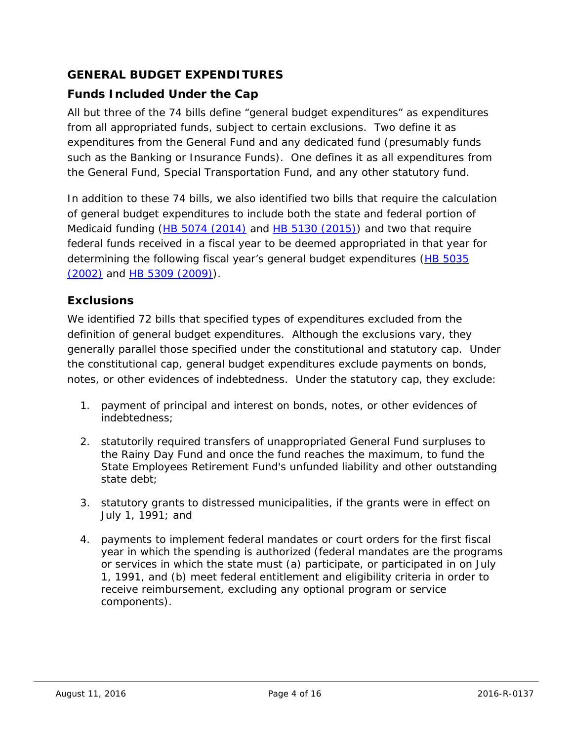### **GENERAL BUDGET EXPENDITURES**

### *Funds Included Under the Cap*

All but three of the 74 bills define "general budget expenditures" as expenditures from all appropriated funds, subject to certain exclusions. Two define it as expenditures from the General Fund and any dedicated fund (presumably funds such as the Banking or Insurance Funds). One defines it as all expenditures from the General Fund, Special Transportation Fund, and any other statutory fund.

In addition to these 74 bills, we also identified two bills that require the calculation of general budget expenditures to include both the state and federal portion of Medicaid funding [\(HB 5074 \(2014\)](https://www.cga.ct.gov/2014/TOB/H/2014HB-05074-R00-HB.htm) and [HB 5130 \(2015\)\)](https://www.cga.ct.gov/2015/TOB/H/2015HB-05130-R00-HB.htm) and two that require federal funds received in a fiscal year to be deemed appropriated in that year for determining the following fiscal year's general budget expenditures [\(HB 5035](https://www.cga.ct.gov/2002/tob/h/2002HB-05035-R00-HB.htm)  [\(2002\)](https://www.cga.ct.gov/2002/tob/h/2002HB-05035-R00-HB.htm) and [HB 5309 \(2009\)\)](https://www.cga.ct.gov/2009/TOB/H/2009HB-05309-R02-HB.htm).

#### *Exclusions*

We identified 72 bills that specified types of expenditures excluded from the definition of general budget expenditures. Although the exclusions vary, they generally parallel those specified under the constitutional and statutory cap. Under the constitutional cap, general budget expenditures exclude payments on bonds, notes, or other evidences of indebtedness. Under the statutory cap, they exclude:

- 1. payment of principal and interest on bonds, notes, or other evidences of indebtedness;
- 2. statutorily required transfers of unappropriated General Fund surpluses to the Rainy Day Fund and once the fund reaches the maximum, to fund the State Employees Retirement Fund's unfunded liability and other outstanding state debt;
- 3. statutory grants to distressed municipalities, if the grants were in effect on July 1, 1991; and
- 4. payments to implement federal mandates or court orders for the first fiscal year in which the spending is authorized (federal mandates are the programs or services in which the state must (a) participate, or participated in on July 1, 1991, and (b) meet federal entitlement and eligibility criteria in order to receive reimbursement, excluding any optional program or service components).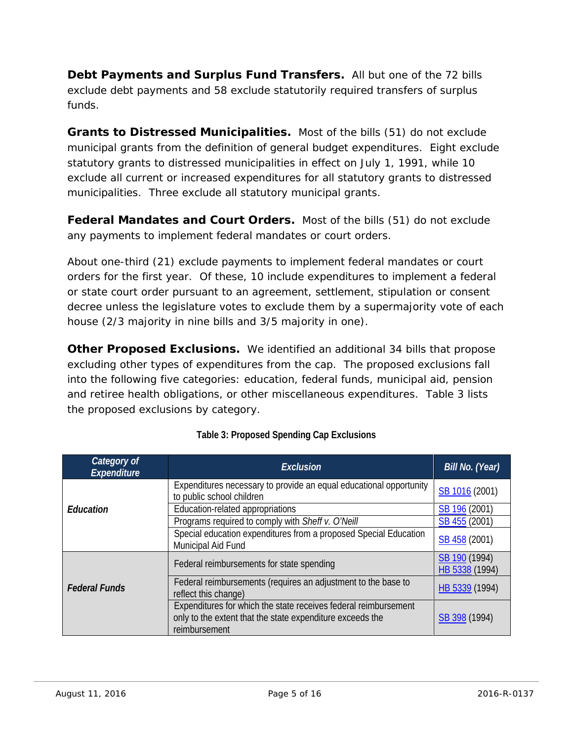*Debt Payments and Surplus Fund Transfers.* All but one of the 72 bills exclude debt payments and 58 exclude statutorily required transfers of surplus funds.

*Grants to Distressed Municipalities.* Most of the bills (51) do not exclude municipal grants from the definition of general budget expenditures. Eight exclude statutory grants to distressed municipalities in effect on July 1, 1991, while 10 exclude all current or increased expenditures for all statutory grants to distressed municipalities. Three exclude all statutory municipal grants.

**Federal Mandates and Court Orders.** Most of the bills (51) do not exclude any payments to implement federal mandates or court orders.

About one-third (21) exclude payments to implement federal mandates or court orders for the first year. Of these, 10 include expenditures to implement a federal or state court order pursuant to an agreement, settlement, stipulation or consent decree unless the legislature votes to exclude them by a supermajority vote of each house (2/3 majority in nine bills and 3/5 majority in one).

*Other Proposed Exclusions.* We identified an additional 34 bills that propose excluding other types of expenditures from the cap. The proposed exclusions fall into the following five categories: education, federal funds, municipal aid, pension and retiree health obligations, or other miscellaneous expenditures. Table 3 lists the proposed exclusions by category.

| Category of<br><b>Expenditure</b> | <b>Exclusion</b>                                                                                                                              | Bill No. (Year)                 |
|-----------------------------------|-----------------------------------------------------------------------------------------------------------------------------------------------|---------------------------------|
|                                   | Expenditures necessary to provide an equal educational opportunity<br>to public school children                                               | SB 1016 (2001)                  |
| Education                         | Education-related appropriations                                                                                                              | SB 196 (2001)                   |
|                                   | Programs required to comply with Sheff v. O'Neill                                                                                             | SB 455 (2001)                   |
|                                   | Special education expenditures from a proposed Special Education<br>Municipal Aid Fund                                                        | SB 458 (2001)                   |
|                                   | Federal reimbursements for state spending                                                                                                     | SB 190 (1994)<br>HB 5338 (1994) |
| <b>Federal Funds</b>              | Federal reimbursements (requires an adjustment to the base to<br>reflect this change)                                                         | HB 5339 (1994)                  |
|                                   | Expenditures for which the state receives federal reimbursement<br>only to the extent that the state expenditure exceeds the<br>reimbursement | SB 398 (1994)                   |

#### **Table 3: Proposed Spending Cap Exclusions**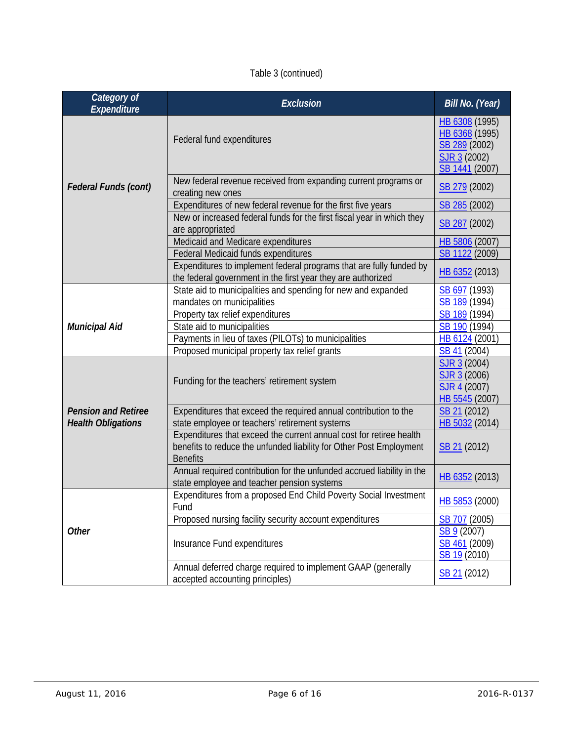### Table 3 (continued)

| Category of<br>Expenditure  | <b>Exclusion</b>                                                                                                                                              | Bill No. (Year)                                                                     |
|-----------------------------|---------------------------------------------------------------------------------------------------------------------------------------------------------------|-------------------------------------------------------------------------------------|
|                             | Federal fund expenditures                                                                                                                                     | HB 6308 (1995)<br>HB 6368 (1995)<br>SB 289 (2002)<br>SJR 3 (2002)<br>SB 1441 (2007) |
| <b>Federal Funds (cont)</b> | New federal revenue received from expanding current programs or<br>creating new ones                                                                          | SB 279 (2002)                                                                       |
|                             | Expenditures of new federal revenue for the first five years<br>New or increased federal funds for the first fiscal year in which they<br>are appropriated    | SB 285 (2002)<br>SB 287 (2002)                                                      |
|                             | Medicaid and Medicare expenditures                                                                                                                            | HB 5806 (2007)                                                                      |
|                             | Federal Medicaid funds expenditures                                                                                                                           | SB 1122 (2009)                                                                      |
|                             | Expenditures to implement federal programs that are fully funded by<br>the federal government in the first year they are authorized                           | HB 6352 (2013)                                                                      |
|                             | State aid to municipalities and spending for new and expanded                                                                                                 | SB 697 (1993)                                                                       |
|                             | mandates on municipalities                                                                                                                                    | SB 189 (1994)                                                                       |
| <b>Municipal Aid</b>        | Property tax relief expenditures                                                                                                                              | SB 189 (1994)                                                                       |
|                             | State aid to municipalities                                                                                                                                   | SB 190 (1994)                                                                       |
|                             | Payments in lieu of taxes (PILOTs) to municipalities                                                                                                          | HB 6124 (2001)                                                                      |
|                             | Proposed municipal property tax relief grants                                                                                                                 | SB <sub>41</sub> (2004)                                                             |
|                             | Funding for the teachers' retirement system                                                                                                                   | SJR 3 (2004)<br>SJR 3 (2006)<br>SJR 4 (2007)<br>HB 5545 (2007)                      |
| <b>Pension and Retiree</b>  | Expenditures that exceed the required annual contribution to the                                                                                              | SB 21 (2012)                                                                        |
| <b>Health Obligations</b>   | state employee or teachers' retirement systems                                                                                                                | HB 5032 (2014)                                                                      |
|                             | Expenditures that exceed the current annual cost for retiree health<br>benefits to reduce the unfunded liability for Other Post Employment<br><b>Benefits</b> | SB 21 (2012)                                                                        |
|                             | Annual required contribution for the unfunded accrued liability in the                                                                                        |                                                                                     |
|                             | state employee and teacher pension systems                                                                                                                    | HB 6352 (2013)                                                                      |
|                             | Expenditures from a proposed End Child Poverty Social Investment<br>Fund                                                                                      | HB 5853 (2000)                                                                      |
|                             | Proposed nursing facility security account expenditures                                                                                                       | SB 707 (2005)                                                                       |
| <b>Other</b>                | Insurance Fund expenditures                                                                                                                                   | SB 9 (2007)<br>SB 461 (2009)<br>SB 19 (2010)                                        |
|                             | Annual deferred charge required to implement GAAP (generally<br>accepted accounting principles)                                                               | SB 21 (2012)                                                                        |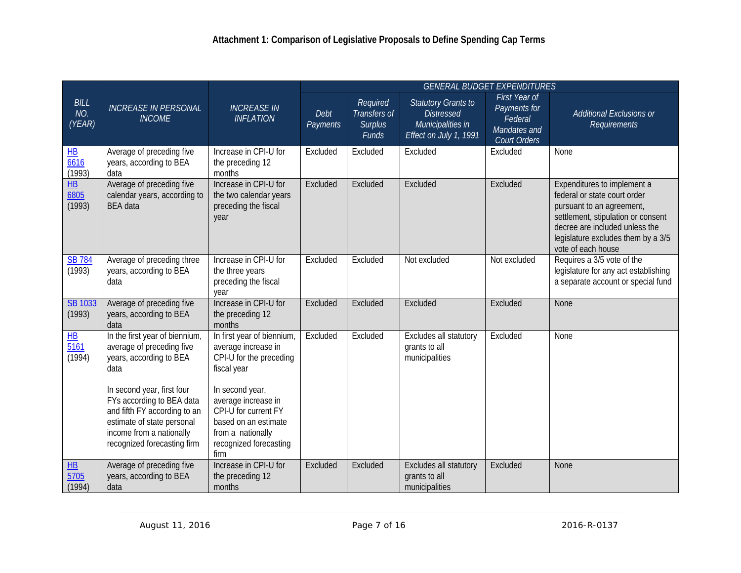|                                           |                                                                                                                                                                                                                                                                                    |                                                                                                                                                                                                                                              |                  |                                                     |                                                                                                | <b>GENERAL BUDGET EXPENDITURES</b>                                       |                                                                                                                                                                                                                              |
|-------------------------------------------|------------------------------------------------------------------------------------------------------------------------------------------------------------------------------------------------------------------------------------------------------------------------------------|----------------------------------------------------------------------------------------------------------------------------------------------------------------------------------------------------------------------------------------------|------------------|-----------------------------------------------------|------------------------------------------------------------------------------------------------|--------------------------------------------------------------------------|------------------------------------------------------------------------------------------------------------------------------------------------------------------------------------------------------------------------------|
| <b>BILL</b><br>NO.<br>(YEAR)              | <b>INCREASE IN PERSONAL</b><br><b>INCOME</b>                                                                                                                                                                                                                                       | <b>INCREASE IN</b><br><b>INFLATION</b>                                                                                                                                                                                                       | Debt<br>Payments | Required<br>Transfers of<br><b>Surplus</b><br>Funds | <b>Statutory Grants to</b><br><b>Distressed</b><br>Municipalities in<br>Effect on July 1, 1991 | First Year of<br>Payments for<br>Federal<br>Mandates and<br>Court Orders | Additional Exclusions or<br><b>Requirements</b>                                                                                                                                                                              |
| $H\bar{B}$<br>6616<br>(1993)              | Average of preceding five<br>years, according to BEA<br>data                                                                                                                                                                                                                       | Increase in CPI-U for<br>the preceding 12<br>months                                                                                                                                                                                          | Excluded         | Excluded                                            | Excluded                                                                                       | Excluded                                                                 | None                                                                                                                                                                                                                         |
| $\frac{\text{HB}}{\text{6805}}$<br>(1993) | Average of preceding five<br>calendar years, according to<br><b>BEA</b> data                                                                                                                                                                                                       | Increase in CPI-U for<br>the two calendar years<br>preceding the fiscal<br>year                                                                                                                                                              | Excluded         | Excluded                                            | Excluded                                                                                       | Excluded                                                                 | Expenditures to implement a<br>federal or state court order<br>pursuant to an agreement,<br>settlement, stipulation or consent<br>decree are included unless the<br>legislature excludes them by a 3/5<br>vote of each house |
| <b>SB 784</b><br>(1993)                   | Average of preceding three<br>years, according to BEA<br>data                                                                                                                                                                                                                      | Increase in CPI-U for<br>the three years<br>preceding the fiscal<br>year                                                                                                                                                                     | Excluded         | Excluded                                            | Not excluded                                                                                   | Not excluded                                                             | Requires a 3/5 vote of the<br>legislature for any act establishing<br>a separate account or special fund                                                                                                                     |
| <b>SB 1033</b><br>(1993)                  | Average of preceding five<br>years, according to BEA<br>data                                                                                                                                                                                                                       | Increase in CPI-U for<br>the preceding 12<br>months                                                                                                                                                                                          | Excluded         | Excluded                                            | Excluded                                                                                       | Excluded                                                                 | None                                                                                                                                                                                                                         |
| H<br>$\overline{5161}$<br>(1994)          | In the first year of biennium,<br>average of preceding five<br>years, according to BEA<br>data<br>In second year, first four<br>FYs according to BEA data<br>and fifth FY according to an<br>estimate of state personal<br>income from a nationally<br>recognized forecasting firm | In first year of biennium,<br>average increase in<br>CPI-U for the preceding<br>fiscal year<br>In second year,<br>average increase in<br>CPI-U for current FY<br>based on an estimate<br>from a nationally<br>recognized forecasting<br>firm | Excluded         | Excluded                                            | Excludes all statutory<br>grants to all<br>municipalities                                      | Excluded                                                                 | None                                                                                                                                                                                                                         |
| H<br>5705<br>(1994)                       | Average of preceding five<br>years, according to BEA<br>data                                                                                                                                                                                                                       | Increase in CPI-U for<br>the preceding 12<br>months                                                                                                                                                                                          | Excluded         | Excluded                                            | Excludes all statutory<br>grants to all<br>municipalities                                      | Excluded                                                                 | None                                                                                                                                                                                                                         |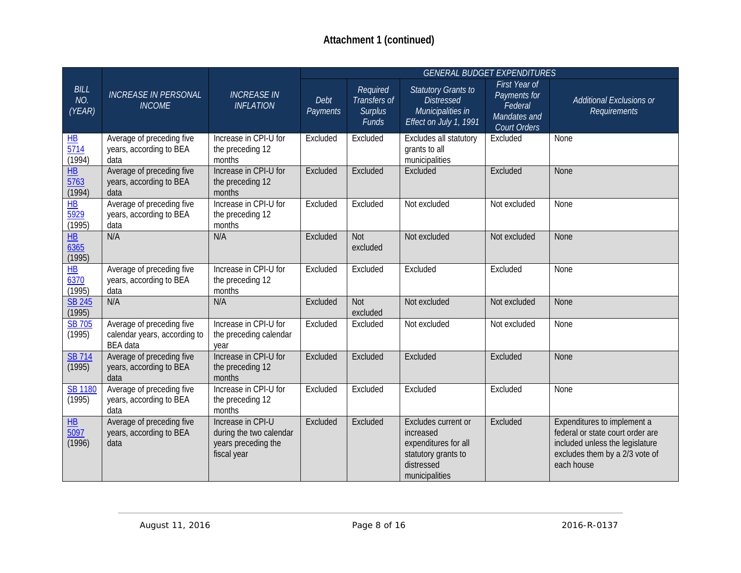|                                               |                                                                              |                                                                                    | <b>GENERAL BUDGET EXPENDITURES</b> |                                                     |                                                                                                                 |                                                                                 |                                                                                                                                                    |  |
|-----------------------------------------------|------------------------------------------------------------------------------|------------------------------------------------------------------------------------|------------------------------------|-----------------------------------------------------|-----------------------------------------------------------------------------------------------------------------|---------------------------------------------------------------------------------|----------------------------------------------------------------------------------------------------------------------------------------------------|--|
| <b>BILL</b><br>NO.<br>(YEAR)                  | <b>INCREASE IN PERSONAL</b><br><b>INCOME</b>                                 | <b>INCREASE IN</b><br><b>INFLATION</b>                                             | Debt<br>Payments                   | Required<br>Transfers of<br><b>Surplus</b><br>Funds | <b>Statutory Grants to</b><br><b>Distressed</b><br>Municipalities in<br>Effect on July 1, 1991                  | First Year of<br>Payments for<br>Federal<br>Mandates and<br><b>Court Orders</b> | <b>Additional Exclusions or</b><br>Requirements                                                                                                    |  |
| $\frac{\text{HB}}{5714}$<br>(1994)            | Average of preceding five<br>years, according to BEA<br>data                 | Increase in CPI-U for<br>the preceding 12<br>months                                | Excluded                           | Excluded                                            | Excludes all statutory<br>grants to all<br>municipalities                                                       | Excluded                                                                        | None                                                                                                                                               |  |
| $\overline{HB}$<br>$\frac{1}{5763}$<br>(1994) | Average of preceding five<br>years, according to BEA<br>data                 | Increase in CPI-U for<br>the preceding 12<br>months                                | Excluded                           | Excluded                                            | Excluded                                                                                                        | Excluded                                                                        | None                                                                                                                                               |  |
| $\overline{HB}$<br>$\frac{1}{5929}$<br>(1995) | Average of preceding five<br>years, according to BEA<br>data                 | Increase in CPI-U for<br>the preceding 12<br>months                                | Excluded                           | Excluded                                            | Not excluded                                                                                                    | Not excluded                                                                    | None                                                                                                                                               |  |
| $\overline{\text{HB}}$<br>6365<br>(1995)      | N/A                                                                          | N/A                                                                                | Excluded                           | <b>Not</b><br>excluded                              | Not excluded                                                                                                    | Not excluded                                                                    | <b>None</b>                                                                                                                                        |  |
| $H\bar{B}$<br>6370<br>(1995)                  | Average of preceding five<br>years, according to BEA<br>data                 | Increase in CPI-U for<br>the preceding 12<br>months                                | Excluded                           | Excluded                                            | Excluded                                                                                                        | Excluded                                                                        | None                                                                                                                                               |  |
| <b>SB 245</b><br>(1995)                       | N/A                                                                          | N/A                                                                                | Excluded                           | Not<br>excluded                                     | Not excluded                                                                                                    | Not excluded                                                                    | <b>None</b>                                                                                                                                        |  |
| <b>SB 705</b><br>(1995)                       | Average of preceding five<br>calendar years, according to<br><b>BEA</b> data | Increase in CPI-U for<br>the preceding calendar<br>year                            | Excluded                           | Excluded                                            | Not excluded                                                                                                    | Not excluded                                                                    | None                                                                                                                                               |  |
| <b>SB 714</b><br>(1995)                       | Average of preceding five<br>years, according to BEA<br>data                 | Increase in CPI-U for<br>the preceding 12<br>months                                | Excluded                           | Excluded                                            | Excluded                                                                                                        | Excluded                                                                        | None                                                                                                                                               |  |
| <b>SB 1180</b><br>(1995)                      | Average of preceding five<br>years, according to BEA<br>data                 | Increase in CPI-U for<br>the preceding 12<br>months                                | Excluded                           | Excluded                                            | Excluded                                                                                                        | Excluded                                                                        | None                                                                                                                                               |  |
| $\overline{\mathsf{HB}}$<br>5097<br>(1996)    | Average of preceding five<br>years, according to BEA<br>data                 | Increase in CPI-U<br>during the two calendar<br>years preceding the<br>fiscal year | Excluded                           | Excluded                                            | Excludes current or<br>increased<br>expenditures for all<br>statutory grants to<br>distressed<br>municipalities | Excluded                                                                        | Expenditures to implement a<br>federal or state court order are<br>included unless the legislature<br>excludes them by a 2/3 vote of<br>each house |  |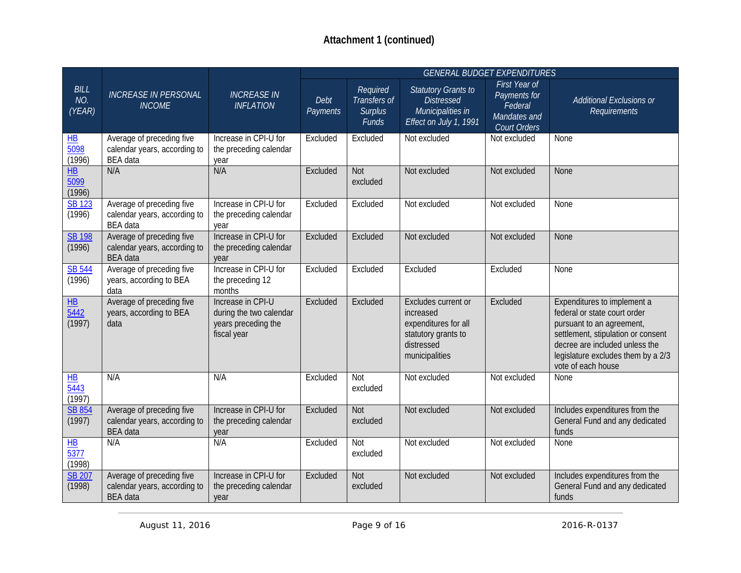|                                      |                                                                              |                                                                                    |                  |                                                     |                                                                                                                 | <b>GENERAL BUDGET EXPENDITURES</b>                                       |                                                                                                                                                                                                                              |
|--------------------------------------|------------------------------------------------------------------------------|------------------------------------------------------------------------------------|------------------|-----------------------------------------------------|-----------------------------------------------------------------------------------------------------------------|--------------------------------------------------------------------------|------------------------------------------------------------------------------------------------------------------------------------------------------------------------------------------------------------------------------|
| <b>BILL</b><br>NO.<br>(YEAR)         | <b>INCREASE IN PERSONAL</b><br><b>INCOME</b>                                 | <b>INCREASE IN</b><br><b>INFLATION</b>                                             | Debt<br>Payments | Required<br>Transfers of<br><b>Surplus</b><br>Funds | <b>Statutory Grants to</b><br><b>Distressed</b><br>Municipalities in<br>Effect on July 1, 1991                  | First Year of<br>Payments for<br>Federal<br>Mandates and<br>Court Orders | Additional Exclusions or<br><b>Requirements</b>                                                                                                                                                                              |
| $H$ B<br>$\overline{5098}$<br>(1996) | Average of preceding five<br>calendar years, according to<br><b>BEA</b> data | Increase in CPI-U for<br>the preceding calendar<br>year                            | Excluded         | Excluded                                            | Not excluded                                                                                                    | Not excluded                                                             | None                                                                                                                                                                                                                         |
| $\overline{HB}$<br>5099<br>(1996)    | N/A                                                                          | N/A                                                                                | Excluded         | Not<br>excluded                                     | Not excluded                                                                                                    | Not excluded                                                             | None                                                                                                                                                                                                                         |
| <b>SB 123</b><br>(1996)              | Average of preceding five<br>calendar years, according to<br><b>BEA</b> data | Increase in CPI-U for<br>the preceding calendar<br>year                            | Excluded         | Excluded                                            | Not excluded                                                                                                    | Not excluded                                                             | None                                                                                                                                                                                                                         |
| <b>SB 198</b><br>(1996)              | Average of preceding five<br>calendar years, according to<br><b>BEA</b> data | Increase in CPI-U for<br>the preceding calendar<br>year                            | Excluded         | Excluded                                            | Not excluded                                                                                                    | Not excluded                                                             | None                                                                                                                                                                                                                         |
| <b>SB 544</b><br>(1996)              | Average of preceding five<br>years, according to BEA<br>data                 | Increase in CPI-U for<br>the preceding 12<br>months                                | Excluded         | Excluded                                            | Excluded                                                                                                        | Excluded                                                                 | None                                                                                                                                                                                                                         |
| H B<br>$\overline{5442}$<br>(1997)   | Average of preceding five<br>years, according to BEA<br>data                 | Increase in CPI-U<br>during the two calendar<br>years preceding the<br>fiscal year | Excluded         | Excluded                                            | Excludes current or<br>increased<br>expenditures for all<br>statutory grants to<br>distressed<br>municipalities | Excluded                                                                 | Expenditures to implement a<br>federal or state court order<br>pursuant to an agreement,<br>settlement, stipulation or consent<br>decree are included unless the<br>legislature excludes them by a 2/3<br>vote of each house |
| $H$ B<br>$\frac{1}{5443}$<br>(1997)  | N/A                                                                          | N/A                                                                                | Excluded         | Not<br>excluded                                     | Not excluded                                                                                                    | Not excluded                                                             | None                                                                                                                                                                                                                         |
| SB 854<br>(1997)                     | Average of preceding five<br>calendar years, according to<br><b>BEA</b> data | Increase in CPI-U for<br>the preceding calendar<br>year                            | Excluded         | <b>Not</b><br>excluded                              | Not excluded                                                                                                    | Not excluded                                                             | Includes expenditures from the<br>General Fund and any dedicated<br>funds                                                                                                                                                    |
| H B<br>5377<br>(1998)                | N/A                                                                          | N/A                                                                                | Excluded         | Not<br>excluded                                     | Not excluded                                                                                                    | Not excluded                                                             | None                                                                                                                                                                                                                         |
| <b>SB 207</b><br>(1998)              | Average of preceding five<br>calendar years, according to<br><b>BEA</b> data | Increase in CPI-U for<br>the preceding calendar<br>year                            | Excluded         | <b>Not</b><br>excluded                              | Not excluded                                                                                                    | Not excluded                                                             | Includes expenditures from the<br>General Fund and any dedicated<br>funds                                                                                                                                                    |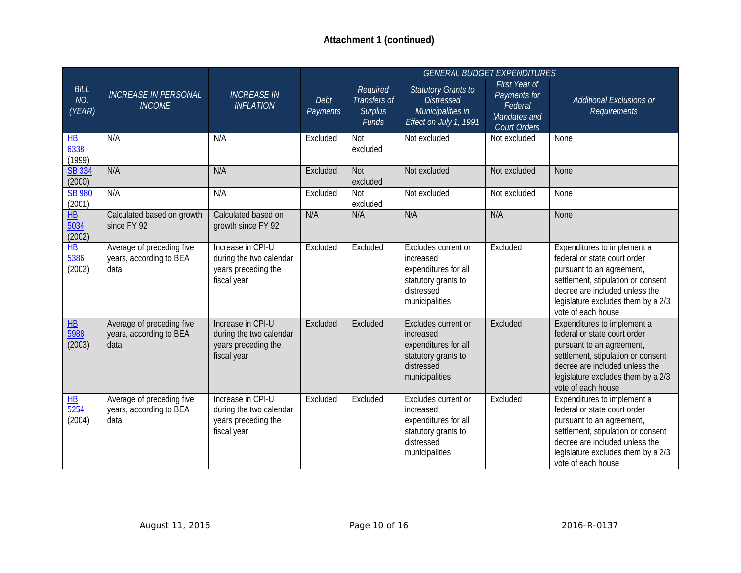|                                                      |                                                              |                                                                                    | <b>GENERAL BUDGET EXPENDITURES</b> |                                                            |                                                                                                                 |                                                                                 |                                                                                                                                                                                                                              |  |
|------------------------------------------------------|--------------------------------------------------------------|------------------------------------------------------------------------------------|------------------------------------|------------------------------------------------------------|-----------------------------------------------------------------------------------------------------------------|---------------------------------------------------------------------------------|------------------------------------------------------------------------------------------------------------------------------------------------------------------------------------------------------------------------------|--|
| <b>BILL</b><br>NO.<br>(YEAR)                         | <b>INCREASE IN PERSONAL</b><br><b>INCOME</b>                 | <b>INCREASE IN</b><br><b>INFLATION</b>                                             | Debt<br>Payments                   | Required<br>Transfers of<br><b>Surplus</b><br><b>Funds</b> | <b>Statutory Grants to</b><br><b>Distressed</b><br>Municipalities in<br>Effect on July 1, 1991                  | First Year of<br>Payments for<br>Federal<br>Mandates and<br><b>Court Orders</b> | <b>Additional Exclusions or</b><br>Requirements                                                                                                                                                                              |  |
| $\frac{\text{HB}}{\text{6338}}$<br>(1999)            | N/A                                                          | N/A                                                                                | Excluded                           | <b>Not</b><br>excluded                                     | Not excluded                                                                                                    | Not excluded                                                                    | None                                                                                                                                                                                                                         |  |
| <b>SB 334</b><br>(2000)                              | N/A                                                          | N/A                                                                                | Excluded                           | Not<br>excluded                                            | Not excluded                                                                                                    | Not excluded                                                                    | None                                                                                                                                                                                                                         |  |
| <b>SB 980</b><br>(2001)                              | N/A                                                          | N/A                                                                                | Excluded                           | <b>Not</b><br>excluded                                     | Not excluded                                                                                                    | Not excluded                                                                    | None                                                                                                                                                                                                                         |  |
| $H$ B<br>5034<br>(2002)                              | Calculated based on growth<br>since FY 92                    | Calculated based on<br>growth since FY 92                                          | N/A                                | N/A                                                        | N/A                                                                                                             | N/A                                                                             | <b>None</b>                                                                                                                                                                                                                  |  |
| $H\bar{B}$<br>$\frac{1}{5386}$<br>(2002)             | Average of preceding five<br>years, according to BEA<br>data | Increase in CPI-U<br>during the two calendar<br>years preceding the<br>fiscal year | Excluded                           | Excluded                                                   | Excludes current or<br>increased<br>expenditures for all<br>statutory grants to<br>distressed<br>municipalities | Excluded                                                                        | Expenditures to implement a<br>federal or state court order<br>pursuant to an agreement,<br>settlement, stipulation or consent<br>decree are included unless the<br>legislature excludes them by a 2/3<br>vote of each house |  |
| $\overline{\text{HB}}$<br>$\frac{1}{5988}$<br>(2003) | Average of preceding five<br>years, according to BEA<br>data | Increase in CPI-U<br>during the two calendar<br>years preceding the<br>fiscal year | Excluded                           | Excluded                                                   | Excludes current or<br>increased<br>expenditures for all<br>statutory grants to<br>distressed<br>municipalities | Excluded                                                                        | Expenditures to implement a<br>federal or state court order<br>pursuant to an agreement,<br>settlement, stipulation or consent<br>decree are included unless the<br>legislature excludes them by a 2/3<br>vote of each house |  |
| $\overline{HB}$<br>$\frac{1}{5254}$<br>(2004)        | Average of preceding five<br>years, according to BEA<br>data | Increase in CPI-U<br>during the two calendar<br>years preceding the<br>fiscal year | Excluded                           | Excluded                                                   | Excludes current or<br>increased<br>expenditures for all<br>statutory grants to<br>distressed<br>municipalities | Excluded                                                                        | Expenditures to implement a<br>federal or state court order<br>pursuant to an agreement,<br>settlement, stipulation or consent<br>decree are included unless the<br>legislature excludes them by a 2/3<br>vote of each house |  |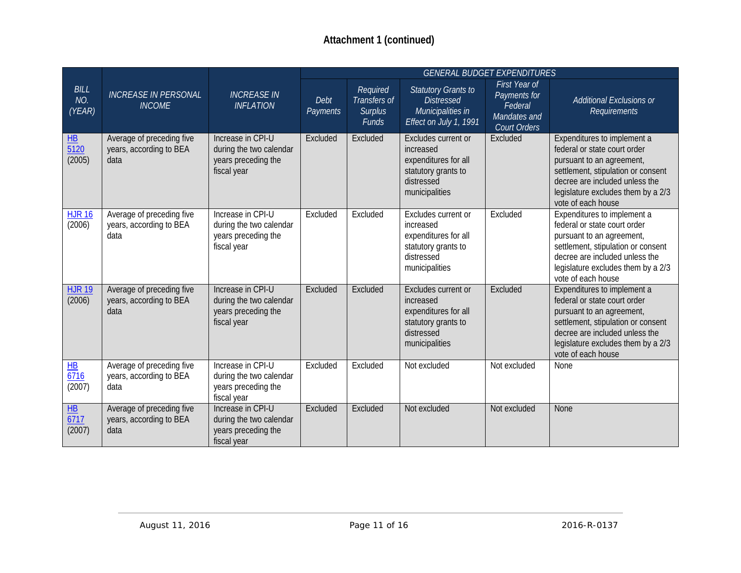|                                                 |                                                              |                                                                                    |                  |                                                     |                                                                                                                 | <b>GENERAL BUDGET EXPENDITURES</b>                                              |                                                                                                                                                                                                                              |
|-------------------------------------------------|--------------------------------------------------------------|------------------------------------------------------------------------------------|------------------|-----------------------------------------------------|-----------------------------------------------------------------------------------------------------------------|---------------------------------------------------------------------------------|------------------------------------------------------------------------------------------------------------------------------------------------------------------------------------------------------------------------------|
| <b>BILL</b><br>NO.<br>(YEAR)                    | <b>INCREASE IN PERSONAL</b><br><b>INCOME</b>                 | <b>INCREASE IN</b><br><b>INFLATION</b>                                             | Debt<br>Payments | Required<br>Transfers of<br><b>Surplus</b><br>Funds | <b>Statutory Grants to</b><br><b>Distressed</b><br>Municipalities in<br>Effect on July 1, 1991                  | First Year of<br>Payments for<br>Federal<br>Mandates and<br><b>Court Orders</b> | <b>Additional Exclusions or</b><br>Requirements                                                                                                                                                                              |
| $H\!\!\!\!\perp$<br>$\overline{5120}$<br>(2005) | Average of preceding five<br>years, according to BEA<br>data | Increase in CPI-U<br>during the two calendar<br>years preceding the<br>fiscal year | Excluded         | Excluded                                            | Excludes current or<br>increased<br>expenditures for all<br>statutory grants to<br>distressed<br>municipalities | Excluded                                                                        | Expenditures to implement a<br>federal or state court order<br>pursuant to an agreement,<br>settlement, stipulation or consent<br>decree are included unless the<br>legislature excludes them by a 2/3<br>vote of each house |
| $HJR$ 16<br>(2006)                              | Average of preceding five<br>years, according to BEA<br>data | Increase in CPI-U<br>during the two calendar<br>years preceding the<br>fiscal year | Excluded         | Excluded                                            | Excludes current or<br>increased<br>expenditures for all<br>statutory grants to<br>distressed<br>municipalities | Excluded                                                                        | Expenditures to implement a<br>federal or state court order<br>pursuant to an agreement,<br>settlement, stipulation or consent<br>decree are included unless the<br>legislature excludes them by a 2/3<br>vote of each house |
| <b>HJR 19</b><br>(2006)                         | Average of preceding five<br>years, according to BEA<br>data | Increase in CPI-U<br>during the two calendar<br>years preceding the<br>fiscal year | Excluded         | Excluded                                            | Excludes current or<br>increased<br>expenditures for all<br>statutory grants to<br>distressed<br>municipalities | Excluded                                                                        | Expenditures to implement a<br>federal or state court order<br>pursuant to an agreement,<br>settlement, stipulation or consent<br>decree are included unless the<br>legislature excludes them by a 2/3<br>vote of each house |
| $\frac{\text{HB}}{6716}$<br>(2007)              | Average of preceding five<br>years, according to BEA<br>data | Increase in CPI-U<br>during the two calendar<br>years preceding the<br>fiscal year | Excluded         | Excluded                                            | Not excluded                                                                                                    | Not excluded                                                                    | None                                                                                                                                                                                                                         |
| H <sub>B</sub><br>$\frac{6717}{2}$<br>(2007)    | Average of preceding five<br>years, according to BEA<br>data | Increase in CPI-U<br>during the two calendar<br>years preceding the<br>fiscal year | Excluded         | Excluded                                            | Not excluded                                                                                                    | Not excluded                                                                    | None                                                                                                                                                                                                                         |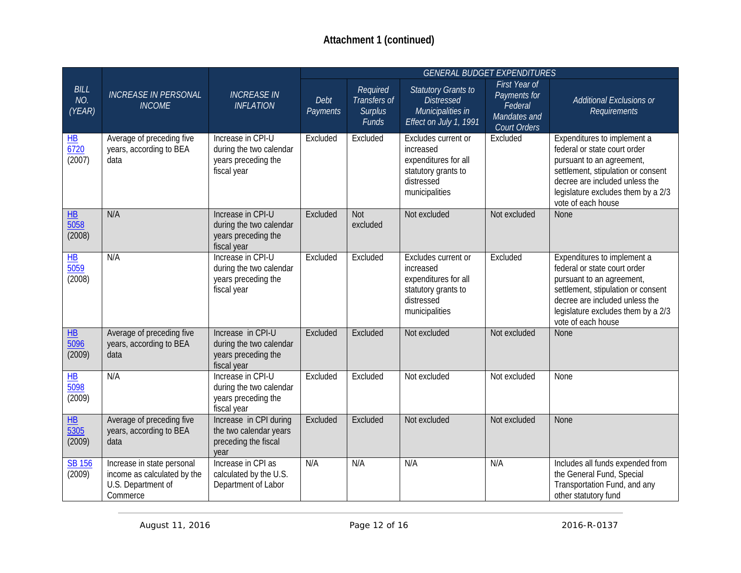|                                                |                                                                                             |                                                                                    |                  |                                                     |                                                                                                                 | <b>GENERAL BUDGET EXPENDITURES</b>                                       |                                                                                                                                                                                                                              |
|------------------------------------------------|---------------------------------------------------------------------------------------------|------------------------------------------------------------------------------------|------------------|-----------------------------------------------------|-----------------------------------------------------------------------------------------------------------------|--------------------------------------------------------------------------|------------------------------------------------------------------------------------------------------------------------------------------------------------------------------------------------------------------------------|
| BILL<br>NO.<br>(YEAR)                          | <b>INCREASE IN PERSONAL</b><br><b>INCOME</b>                                                | <b>INCREASE IN</b><br><b>INFLATION</b>                                             | Debt<br>Payments | Required<br>Transfers of<br><b>Surplus</b><br>Funds | <b>Statutory Grants to</b><br><b>Distressed</b><br>Municipalities in<br>Effect on July 1, 1991                  | First Year of<br>Payments for<br>Federal<br>Mandates and<br>Court Orders | Additional Exclusions or<br><b>Requirements</b>                                                                                                                                                                              |
| $H\underline{B}$<br>$\frac{6720}{2}$<br>(2007) | Average of preceding five<br>years, according to BEA<br>data                                | Increase in CPI-U<br>during the two calendar<br>years preceding the<br>fiscal year | Excluded         | Excluded                                            | Excludes current or<br>increased<br>expenditures for all<br>statutory grants to<br>distressed<br>municipalities | Excluded                                                                 | Expenditures to implement a<br>federal or state court order<br>pursuant to an agreement,<br>settlement, stipulation or consent<br>decree are included unless the<br>legislature excludes them by a 2/3<br>vote of each house |
| $\overline{\text{HB}}$<br>5058<br>(2008)       | N/A                                                                                         | Increase in CPI-U<br>during the two calendar<br>years preceding the<br>fiscal year | Excluded         | Not<br>excluded                                     | Not excluded                                                                                                    | Not excluded                                                             | None                                                                                                                                                                                                                         |
| H <sub>B</sub><br>$\frac{1}{5059}$<br>(2008)   | N/A                                                                                         | Increase in CPI-U<br>during the two calendar<br>years preceding the<br>fiscal year | Excluded         | Excluded                                            | Excludes current or<br>increased<br>expenditures for all<br>statutory grants to<br>distressed<br>municipalities | Excluded                                                                 | Expenditures to implement a<br>federal or state court order<br>pursuant to an agreement,<br>settlement, stipulation or consent<br>decree are included unless the<br>legislature excludes them by a 2/3<br>vote of each house |
| $H\underline{B}$<br>$\frac{1}{5096}$<br>(2009) | Average of preceding five<br>years, according to BEA<br>data                                | Increase in CPI-U<br>during the two calendar<br>years preceding the<br>fiscal year | Excluded         | Excluded                                            | Not excluded                                                                                                    | Not excluded                                                             | None                                                                                                                                                                                                                         |
| H B<br>$\frac{5098}{ }$<br>(2009)              | N/A                                                                                         | Increase in CPI-U<br>during the two calendar<br>years preceding the<br>fiscal year | Excluded         | Excluded                                            | Not excluded                                                                                                    | Not excluded                                                             | None                                                                                                                                                                                                                         |
| H <sub>B</sub><br>5305<br>(2009)               | Average of preceding five<br>years, according to BEA<br>data                                | Increase in CPI during<br>the two calendar years<br>preceding the fiscal<br>vear   | Excluded         | Excluded                                            | Not excluded                                                                                                    | Not excluded                                                             | None                                                                                                                                                                                                                         |
| <b>SB 156</b><br>(2009)                        | Increase in state personal<br>income as calculated by the<br>U.S. Department of<br>Commerce | Increase in CPI as<br>calculated by the U.S.<br>Department of Labor                | N/A              | N/A                                                 | N/A                                                                                                             | N/A                                                                      | Includes all funds expended from<br>the General Fund, Special<br>Transportation Fund, and any<br>other statutory fund                                                                                                        |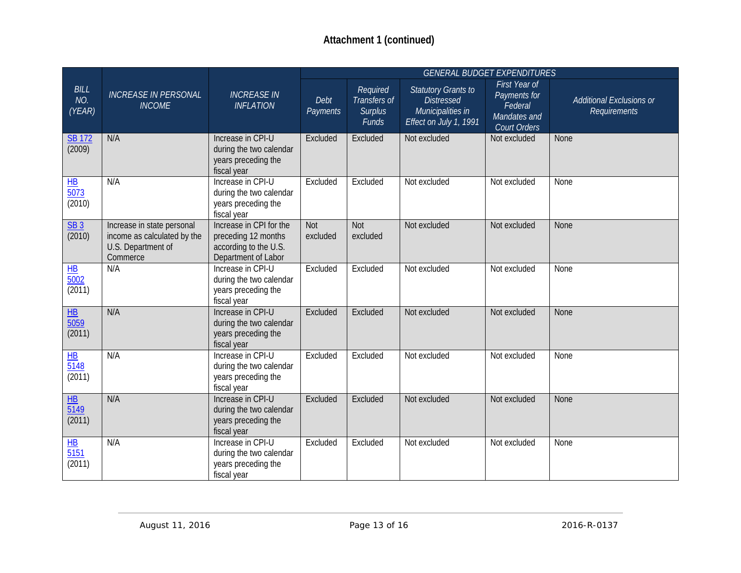|                                                |                                                                                             |                                                                                                |                        |                                                     |                                                                                                | <b>GENERAL BUDGET EXPENDITURES</b>                                              |                                                 |
|------------------------------------------------|---------------------------------------------------------------------------------------------|------------------------------------------------------------------------------------------------|------------------------|-----------------------------------------------------|------------------------------------------------------------------------------------------------|---------------------------------------------------------------------------------|-------------------------------------------------|
| <b>BILL</b><br>NO.<br>(YEAR)                   | <b>INCREASE IN PERSONAL</b><br><b>INCOME</b>                                                | <b>INCREASE IN</b><br><b>INFLATION</b>                                                         | Debt<br>Payments       | Required<br>Transfers of<br><b>Surplus</b><br>Funds | <b>Statutory Grants to</b><br><b>Distressed</b><br>Municipalities in<br>Effect on July 1, 1991 | First Year of<br>Payments for<br>Federal<br>Mandates and<br><b>Court Orders</b> | <b>Additional Exclusions or</b><br>Requirements |
| <b>SB 172</b><br>(2009)                        | N/A                                                                                         | Increase in CPI-U<br>during the two calendar<br>years preceding the<br>fiscal year             | Excluded               | Excluded                                            | Not excluded                                                                                   | Not excluded                                                                    | None                                            |
| $H\!B$<br>$\overline{5073}$<br>(2010)          | N/A                                                                                         | Increase in CPI-U<br>during the two calendar<br>years preceding the<br>fiscal year             | Excluded               | Excluded                                            | Not excluded                                                                                   | Not excluded                                                                    | None                                            |
| SB3<br>(2010)                                  | Increase in state personal<br>income as calculated by the<br>U.S. Department of<br>Commerce | Increase in CPI for the<br>preceding 12 months<br>according to the U.S.<br>Department of Labor | <b>Not</b><br>excluded | Not<br>excluded                                     | Not excluded                                                                                   | Not excluded                                                                    | None                                            |
| $H$ B<br>$\overline{5002}$<br>(2011)           | N/A                                                                                         | Increase in CPI-U<br>during the two calendar<br>years preceding the<br>fiscal year             | Excluded               | Excluded                                            | Not excluded                                                                                   | Not excluded                                                                    | None                                            |
| $\overline{HB}$<br>$\overline{5059}$<br>(2011) | N/A                                                                                         | Increase in CPI-U<br>during the two calendar<br>years preceding the<br>fiscal year             | Excluded               | Excluded                                            | Not excluded                                                                                   | Not excluded                                                                    | None                                            |
| $H\!B$<br>$\frac{1}{5148}$<br>(2011)           | N/A                                                                                         | Increase in CPI-U<br>during the two calendar<br>years preceding the<br>fiscal year             | Excluded               | Excluded                                            | Not excluded                                                                                   | Not excluded                                                                    | None                                            |
| $\frac{1}{10}$<br>$\frac{1}{5149}$<br>(2011)   | N/A                                                                                         | Increase in CPI-U<br>during the two calendar<br>years preceding the<br>fiscal year             | Excluded               | Excluded                                            | Not excluded                                                                                   | Not excluded                                                                    | None                                            |
| $H\!B$<br>5151<br>(2011)                       | N/A                                                                                         | Increase in CPI-U<br>during the two calendar<br>years preceding the<br>fiscal year             | Excluded               | Excluded                                            | Not excluded                                                                                   | Not excluded                                                                    | None                                            |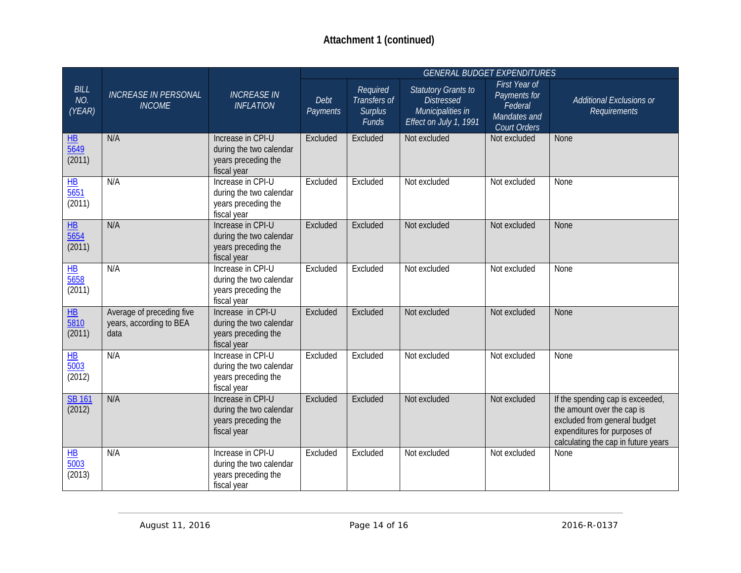|                                                                 |                                                              |                                                                                    | <b>GENERAL BUDGET EXPENDITURES</b> |                                                     |                                                                                                |                                                                          |                                                                                                                                                                       |
|-----------------------------------------------------------------|--------------------------------------------------------------|------------------------------------------------------------------------------------|------------------------------------|-----------------------------------------------------|------------------------------------------------------------------------------------------------|--------------------------------------------------------------------------|-----------------------------------------------------------------------------------------------------------------------------------------------------------------------|
| <b>BILL</b><br>NO.<br>(YEAR)                                    | <b>INCREASE IN PERSONAL</b><br><b>INCOME</b>                 | <b>INCREASE IN</b><br><b>INFLATION</b>                                             | Debt<br>Payments                   | Required<br>Transfers of<br><b>Surplus</b><br>Funds | <b>Statutory Grants to</b><br><b>Distressed</b><br>Municipalities in<br>Effect on July 1, 1991 | First Year of<br>Payments for<br>Federal<br>Mandates and<br>Court Orders | Additional Exclusions or<br><b>Requirements</b>                                                                                                                       |
| H<br>$\frac{1}{5649}$<br>(2011)                                 | N/A                                                          | Increase in CPI-U<br>during the two calendar<br>years preceding the<br>fiscal year | Excluded                           | Excluded                                            | Not excluded                                                                                   | Not excluded                                                             | None                                                                                                                                                                  |
| $\overline{\mathsf{H}\mathsf{B}}$<br>$\frac{1}{5651}$<br>(2011) | N/A                                                          | Increase in CPI-U<br>during the two calendar<br>years preceding the<br>fiscal year | Excluded                           | Excluded                                            | Not excluded                                                                                   | Not excluded                                                             | None                                                                                                                                                                  |
| $H\!B$<br>$\frac{5654}{5656}$<br>(2011)                         | N/A                                                          | Increase in CPI-U<br>during the two calendar<br>years preceding the<br>fiscal year | Excluded                           | Excluded                                            | Not excluded                                                                                   | Not excluded                                                             | None                                                                                                                                                                  |
| $H$ B<br>$\overline{5658}$<br>(2011)                            | N/A                                                          | Increase in CPI-U<br>during the two calendar<br>years preceding the<br>fiscal year | Excluded                           | Excluded                                            | Not excluded                                                                                   | Not excluded                                                             | None                                                                                                                                                                  |
| $\overline{\text{HB}}$<br>$\frac{5810}{ }$<br>(2011)            | Average of preceding five<br>years, according to BEA<br>data | Increase in CPI-U<br>during the two calendar<br>years preceding the<br>fiscal year | Excluded                           | Excluded                                            | Not excluded                                                                                   | Not excluded                                                             | <b>None</b>                                                                                                                                                           |
| $H\!B$<br>5003<br>(2012)                                        | N/A                                                          | Increase in CPI-U<br>during the two calendar<br>years preceding the<br>fiscal year | Excluded                           | Excluded                                            | Not excluded                                                                                   | Not excluded                                                             | None                                                                                                                                                                  |
| <b>SB 161</b><br>(2012)                                         | N/A                                                          | Increase in CPI-U<br>during the two calendar<br>years preceding the<br>fiscal year | Excluded                           | Excluded                                            | Not excluded                                                                                   | Not excluded                                                             | If the spending cap is exceeded,<br>the amount over the cap is<br>excluded from general budget<br>expenditures for purposes of<br>calculating the cap in future years |
| $H\underline{B}$<br>$\frac{1}{5003}$<br>(2013)                  | N/A                                                          | Increase in CPI-U<br>during the two calendar<br>years preceding the<br>fiscal year | Excluded                           | Excluded                                            | Not excluded                                                                                   | Not excluded                                                             | None                                                                                                                                                                  |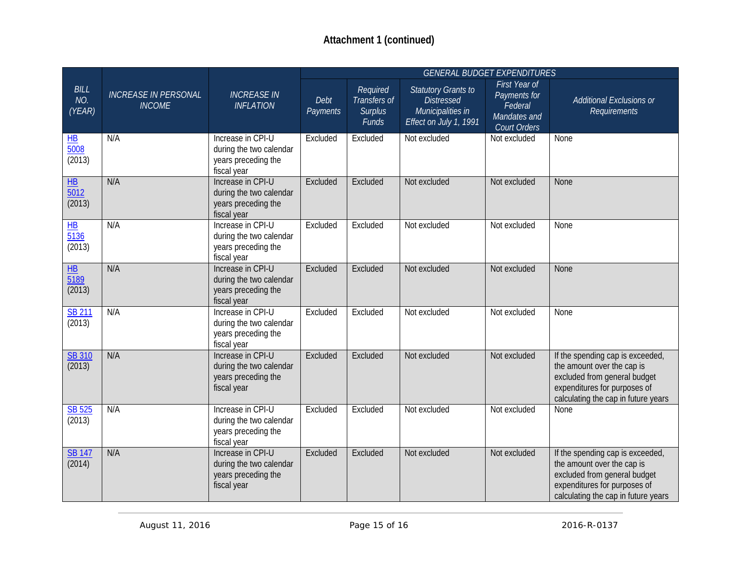|                                          |                                              |                                                                                    |                  |                                                     | <b>GENERAL BUDGET EXPENDITURES</b>                                                             |                                                                          |                                                                                                                                                                       |
|------------------------------------------|----------------------------------------------|------------------------------------------------------------------------------------|------------------|-----------------------------------------------------|------------------------------------------------------------------------------------------------|--------------------------------------------------------------------------|-----------------------------------------------------------------------------------------------------------------------------------------------------------------------|
| <b>BILL</b><br>NO.<br>(YEAR)             | <b>INCREASE IN PERSONAL</b><br><b>INCOME</b> | <b>INCREASE IN</b><br><b>INFLATION</b>                                             | Debt<br>Payments | Required<br>Transfers of<br><b>Surplus</b><br>Funds | <b>Statutory Grants to</b><br><b>Distressed</b><br>Municipalities in<br>Effect on July 1, 1991 | First Year of<br>Payments for<br>Federal<br>Mandates and<br>Court Orders | Additional Exclusions or<br>Requirements                                                                                                                              |
| $H\!B$<br>5008<br>(2013)                 | N/A                                          | Increase in CPI-U<br>during the two calendar<br>years preceding the<br>fiscal year | Excluded         | Excluded                                            | Not excluded                                                                                   | Not excluded                                                             | None                                                                                                                                                                  |
| $H\!B$<br>$\frac{1}{5012}$<br>(2013)     | N/A                                          | Increase in CPI-U<br>during the two calendar<br>years preceding the<br>fiscal year | Excluded         | Excluded                                            | Not excluded                                                                                   | Not excluded                                                             | <b>None</b>                                                                                                                                                           |
| $H$ B<br>$\frac{1}{5136}$<br>(2013)      | N/A                                          | Increase in CPI-U<br>during the two calendar<br>years preceding the<br>fiscal year | Excluded         | Excluded                                            | Not excluded                                                                                   | Not excluded                                                             | None                                                                                                                                                                  |
| $\overline{\text{HB}}$<br>5189<br>(2013) | N/A                                          | Increase in CPI-U<br>during the two calendar<br>years preceding the<br>fiscal year | Excluded         | Excluded                                            | Not excluded                                                                                   | Not excluded                                                             | None                                                                                                                                                                  |
| <b>SB 211</b><br>(2013)                  | N/A                                          | Increase in CPI-U<br>during the two calendar<br>years preceding the<br>fiscal year | Excluded         | Excluded                                            | Not excluded                                                                                   | Not excluded                                                             | None                                                                                                                                                                  |
| <b>SB 310</b><br>(2013)                  | N/A                                          | Increase in CPI-U<br>during the two calendar<br>years preceding the<br>fiscal year | Excluded         | Excluded                                            | Not excluded                                                                                   | Not excluded                                                             | If the spending cap is exceeded,<br>the amount over the cap is<br>excluded from general budget<br>expenditures for purposes of<br>calculating the cap in future years |
| SB 525<br>(2013)                         | N/A                                          | Increase in CPI-U<br>during the two calendar<br>years preceding the<br>fiscal year | Excluded         | Excluded                                            | Not excluded                                                                                   | Not excluded                                                             | None                                                                                                                                                                  |
| <b>SB 147</b><br>(2014)                  | N/A                                          | Increase in CPI-U<br>during the two calendar<br>years preceding the<br>fiscal year | Excluded         | Excluded                                            | Not excluded                                                                                   | Not excluded                                                             | If the spending cap is exceeded,<br>the amount over the cap is<br>excluded from general budget<br>expenditures for purposes of<br>calculating the cap in future years |